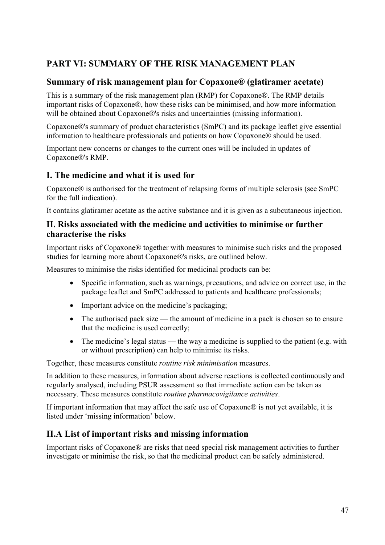# **PART VI: SUMMARY OF THE RISK MANAGEMENT PLAN**

# **Summary of risk management plan for Copaxone® (glatiramer acetate)**

This is a summary of the risk management plan (RMP) for Copaxone®. The RMP details important risks of Copaxone®, how these risks can be minimised, and how more information will be obtained about Copaxone®'s risks and uncertainties (missing information).

Copaxone®'s summary of product characteristics (SmPC) and its package leaflet give essential information to healthcare professionals and patients on how Copaxone® should be used.

Important new concerns or changes to the current ones will be included in updates of Copaxone®'s RMP.

## **I. The medicine and what it is used for**

Copaxone® is authorised for the treatment of relapsing forms of multiple sclerosis (see SmPC for the full indication).

It contains glatiramer acetate as the active substance and it is given as a subcutaneous injection.

### **II. Risks associated with the medicine and activities to minimise or further characterise the risks**

Important risks of Copaxone® together with measures to minimise such risks and the proposed studies for learning more about Copaxone®'s risks, are outlined below.

Measures to minimise the risks identified for medicinal products can be:

- $\bullet$  Specific information, such as warnings, precautions, and advice on correct use, in the package leaflet and SmPC addressed to patients and healthcare professionals;
- Important advice on the medicine's packaging;
- The authorised pack size the amount of medicine in a pack is chosen so to ensure that the medicine is used correctly;
- The medicine's legal status the way a medicine is supplied to the patient (e.g. with or without prescription) can help to minimise its risks.

Together, these measures constitute *routine risk minimisation* measures.

In addition to these measures, information about adverse reactions is collected continuously and regularly analysed, including PSUR assessment so that immediate action can be taken as necessary. These measures constitute *routine pharmacovigilance activities*.

If important information that may affect the safe use of Copaxone® is not yet available, it is listed under 'missing information' below.

# **II.A List of important risks and missing information**

Important risks of Copaxone® are risks that need special risk management activities to further investigate or minimise the risk, so that the medicinal product can be safely administered.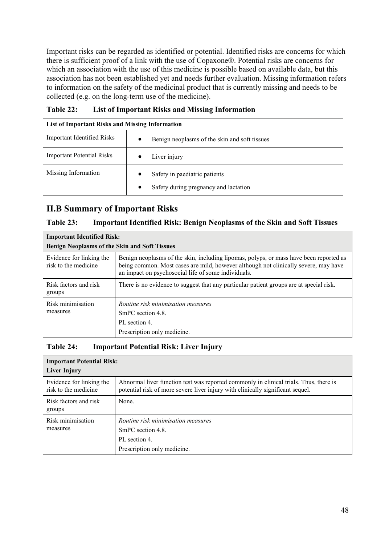Important risks can be regarded as identified or potential. Identified risks are concerns for which there is sufficient proof of a link with the use of Copaxone®. Potential risks are concerns for which an association with the use of this medicine is possible based on available data, but this association has not been established yet and needs further evaluation. Missing information refers to information on the safety of the medicinal product that is currently missing and needs to be collected (e.g. on the long-term use of the medicine).

| List of Important Risks and Missing Information |                                                            |  |  |  |
|-------------------------------------------------|------------------------------------------------------------|--|--|--|
| <b>Important Identified Risks</b>               | Benign neoplasms of the skin and soft tissues<br>$\bullet$ |  |  |  |
| <b>Important Potential Risks</b>                | Liver injury<br>$\bullet$                                  |  |  |  |
| Missing Information                             | Safety in paediatric patients<br>$\bullet$                 |  |  |  |
|                                                 | Safety during pregnancy and lactation                      |  |  |  |

**Table 22: List of Important Risks and Missing Information**

# **II.B Summary of Important Risks**

### **Table 23: Important Identified Risk: Benign Neoplasms of the Skin and Soft Tissues**

| <b>Important Identified Risk:</b>                    |                                                                                                                                                                                                                                      |  |  |  |
|------------------------------------------------------|--------------------------------------------------------------------------------------------------------------------------------------------------------------------------------------------------------------------------------------|--|--|--|
| <b>Benign Neoplasms of the Skin and Soft Tissues</b> |                                                                                                                                                                                                                                      |  |  |  |
| Evidence for linking the<br>risk to the medicine     | Benign neoplasms of the skin, including lipomas, polyps, or mass have been reported as<br>being common. Most cases are mild, however although not clinically severe, may have<br>an impact on psychosocial life of some individuals. |  |  |  |
| Risk factors and risk<br>groups                      | There is no evidence to suggest that any particular patient groups are at special risk.                                                                                                                                              |  |  |  |
| Risk minimisation<br>measures                        | Routine risk minimisation measures<br>SmPC section 4.8.<br>PL section 4.<br>Prescription only medicine.                                                                                                                              |  |  |  |

#### **Table 24: Important Potential Risk: Liver Injury**

#### **Important Potential Risk: Liver Injury** Evidence for linking the Abnormal liver function test was reported commonly in clinical trials. Thus, there is risk to the medicine potential risk of more severe liver injury with clinically significant sequel. Risk factors and risk None. groups Risk minimisation Routine risk minimisation measures *Routine risk minimisation measures* SmPC section 4.8. measures PL section 4. Prescription only medicine.